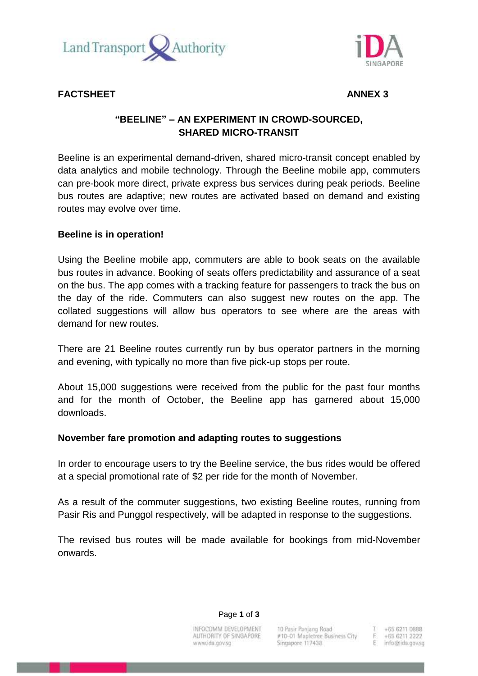



**FACTSHEET ANNEX 3**

# **"BEELINE" – AN EXPERIMENT IN CROWD-SOURCED, SHARED MICRO-TRANSIT**

Beeline is an experimental demand-driven, shared micro-transit concept enabled by data analytics and mobile technology. Through the Beeline mobile app, commuters can pre-book more direct, private express bus services during peak periods. Beeline bus routes are adaptive; new routes are activated based on demand and existing routes may evolve over time.

## **Beeline is in operation!**

Using the Beeline mobile app, commuters are able to book seats on the available bus routes in advance. Booking of seats offers predictability and assurance of a seat on the bus. The app comes with a tracking feature for passengers to track the bus on the day of the ride. Commuters can also suggest new routes on the app. The collated suggestions will allow bus operators to see where are the areas with demand for new routes.

There are 21 Beeline routes currently run by bus operator partners in the morning and evening, with typically no more than five pick-up stops per route.

About 15,000 suggestions were received from the public for the past four months and for the month of October, the Beeline app has garnered about 15,000 downloads.

### **November fare promotion and adapting routes to suggestions**

In order to encourage users to try the Beeline service, the bus rides would be offered at a special promotional rate of \$2 per ride for the month of November.

As a result of the commuter suggestions, two existing Beeline routes, running from Pasir Ris and Punggol respectively, will be adapted in response to the suggestions.

The revised bus routes will be made available for bookings from mid-November onwards.

Page **1** of **3**

INFOCOMM DEVELOPMENT AUTHORITY OF SINGAPORE www.ida.gov.sg

10 Pasir Panjang Road #10-01 Mapletree Business City Singapore 117438

+65 6211 0888 +65 6211 2222 info@ida.gov.sg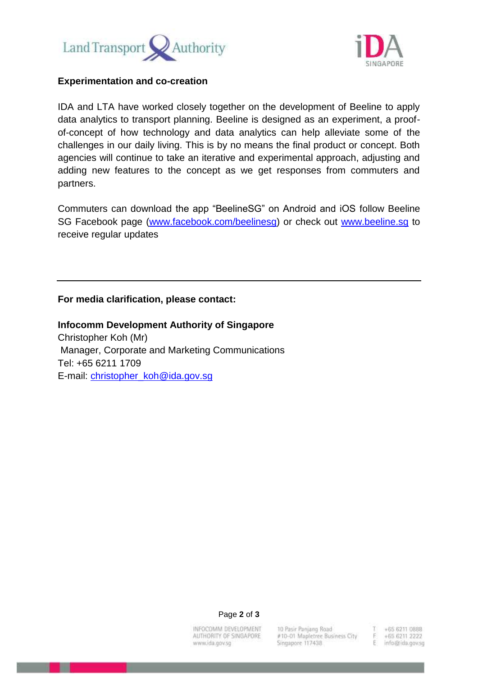



#### **Experimentation and co-creation**

IDA and LTA have worked closely together on the development of Beeline to apply data analytics to transport planning. Beeline is designed as an experiment, a proofof-concept of how technology and data analytics can help alleviate some of the challenges in our daily living. This is by no means the final product or concept. Both agencies will continue to take an iterative and experimental approach, adjusting and adding new features to the concept as we get responses from commuters and partners.

Commuters can download the app "BeelineSG" on Android and iOS follow Beeline SG Facebook page [\(www.facebook.com/beelinesg\)](http://www.facebook.com/beelinesg) or check out [www.beeline.sg](http://www.beeline.sg/) to receive regular updates

#### **For media clarification, please contact:**

**Infocomm Development Authority of Singapore** Christopher Koh (Mr) Manager, Corporate and Marketing Communications Tel: +65 6211 1709 E-mail: [christopher\\_koh@ida.gov.sg](mailto:christopher_koh@ida.gov.sg)

Page **2** of **3**

INFOCOMM DEVELOPMENT AUTHORITY OF SINGAPORE www.ida.gov.sg

10 Pasir Paniano Road #10-01 Mapletree Business City Singapore 117438

+65 6211 0888 +65 6211 2222 E info@ida.gov.sg